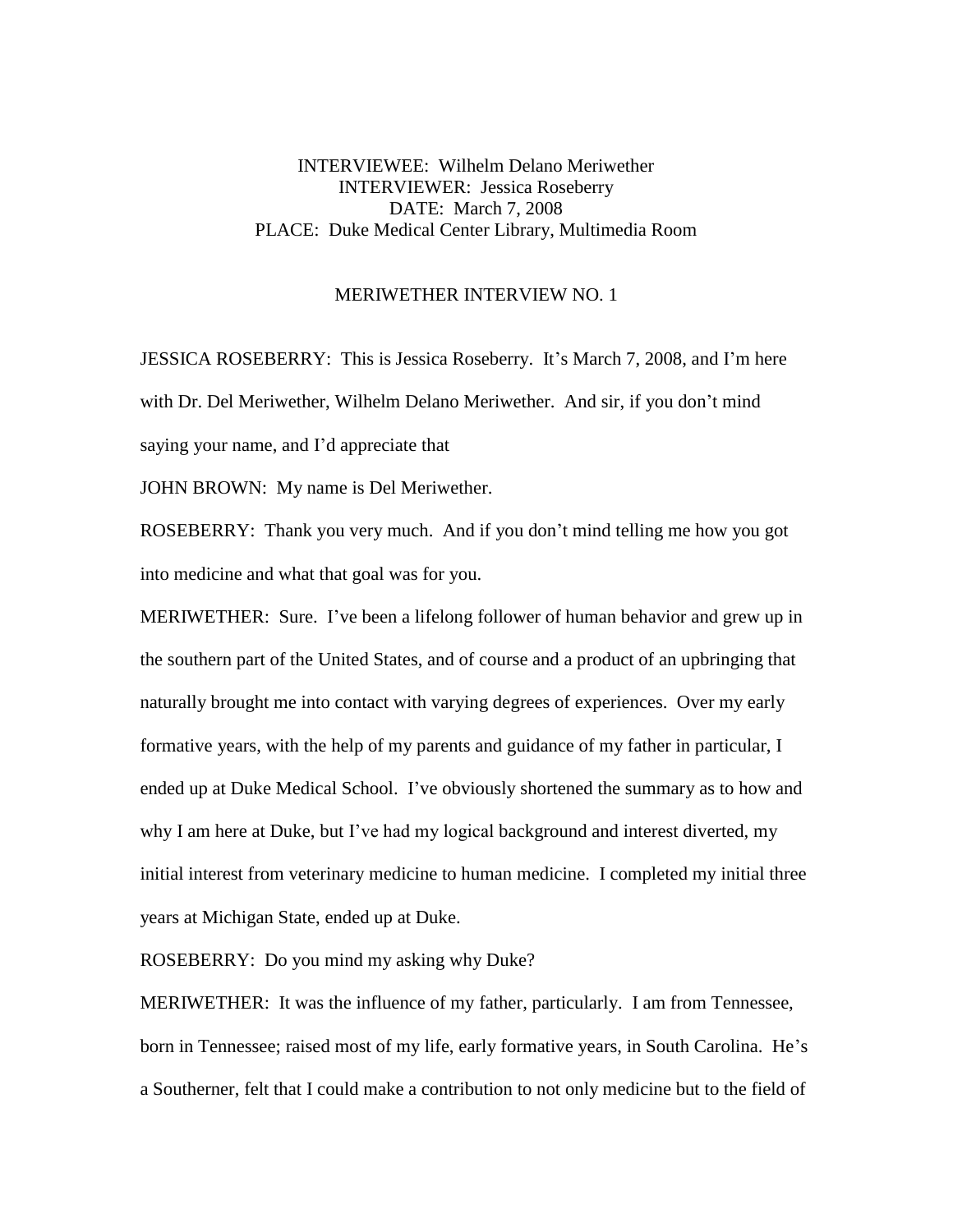## INTERVIEWEE: Wilhelm Delano Meriwether INTERVIEWER: Jessica Roseberry DATE: March 7, 2008 PLACE: Duke Medical Center Library, Multimedia Room

## MERIWETHER INTERVIEW NO. 1

JESSICA ROSEBERRY: This is Jessica Roseberry. It's March 7, 2008, and I'm here with Dr. Del Meriwether, Wilhelm Delano Meriwether. And sir, if you don't mind saying your name, and I'd appreciate that

JOHN BROWN: My name is Del Meriwether.

ROSEBERRY: Thank you very much. And if you don't mind telling me how you got into medicine and what that goal was for you.

MERIWETHER: Sure. I've been a lifelong follower of human behavior and grew up in the southern part of the United States, and of course and a product of an upbringing that naturally brought me into contact with varying degrees of experiences. Over my early formative years, with the help of my parents and guidance of my father in particular, I ended up at Duke Medical School. I've obviously shortened the summary as to how and why I am here at Duke, but I've had my logical background and interest diverted, my initial interest from veterinary medicine to human medicine. I completed my initial three years at Michigan State, ended up at Duke.

ROSEBERRY: Do you mind my asking why Duke?

MERIWETHER: It was the influence of my father, particularly. I am from Tennessee, born in Tennessee; raised most of my life, early formative years, in South Carolina. He's a Southerner, felt that I could make a contribution to not only medicine but to the field of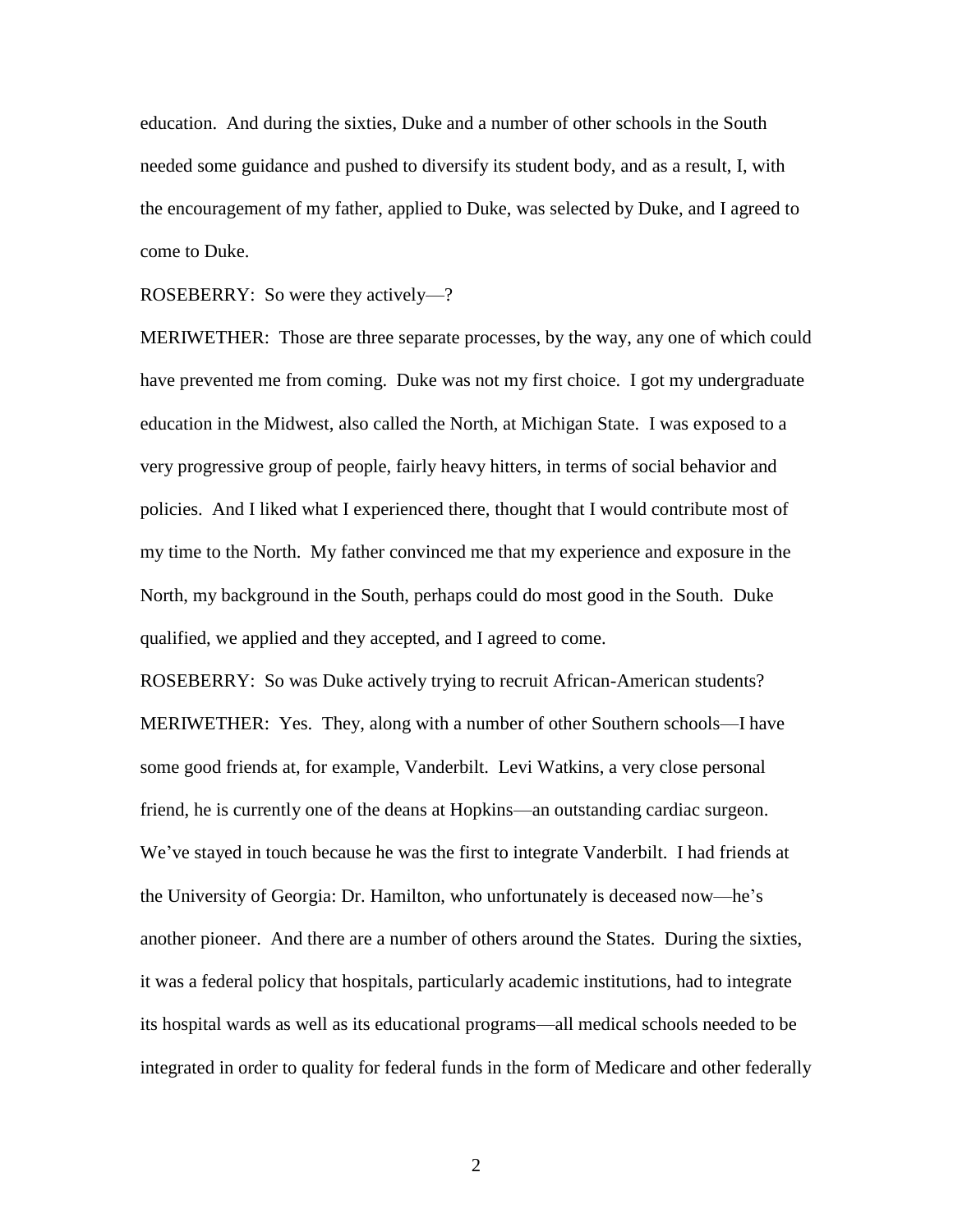education. And during the sixties, Duke and a number of other schools in the South needed some guidance and pushed to diversify its student body, and as a result, I, with the encouragement of my father, applied to Duke, was selected by Duke, and I agreed to come to Duke.

ROSEBERRY: So were they actively—?

MERIWETHER: Those are three separate processes, by the way, any one of which could have prevented me from coming. Duke was not my first choice. I got my undergraduate education in the Midwest, also called the North, at Michigan State. I was exposed to a very progressive group of people, fairly heavy hitters, in terms of social behavior and policies. And I liked what I experienced there, thought that I would contribute most of my time to the North. My father convinced me that my experience and exposure in the North, my background in the South, perhaps could do most good in the South. Duke qualified, we applied and they accepted, and I agreed to come.

ROSEBERRY: So was Duke actively trying to recruit African-American students? MERIWETHER: Yes. They, along with a number of other Southern schools—I have some good friends at, for example, Vanderbilt. Levi Watkins, a very close personal friend, he is currently one of the deans at Hopkins—an outstanding cardiac surgeon. We've stayed in touch because he was the first to integrate Vanderbilt. I had friends at the University of Georgia: Dr. Hamilton, who unfortunately is deceased now—he's another pioneer. And there are a number of others around the States. During the sixties, it was a federal policy that hospitals, particularly academic institutions, had to integrate its hospital wards as well as its educational programs—all medical schools needed to be integrated in order to quality for federal funds in the form of Medicare and other federally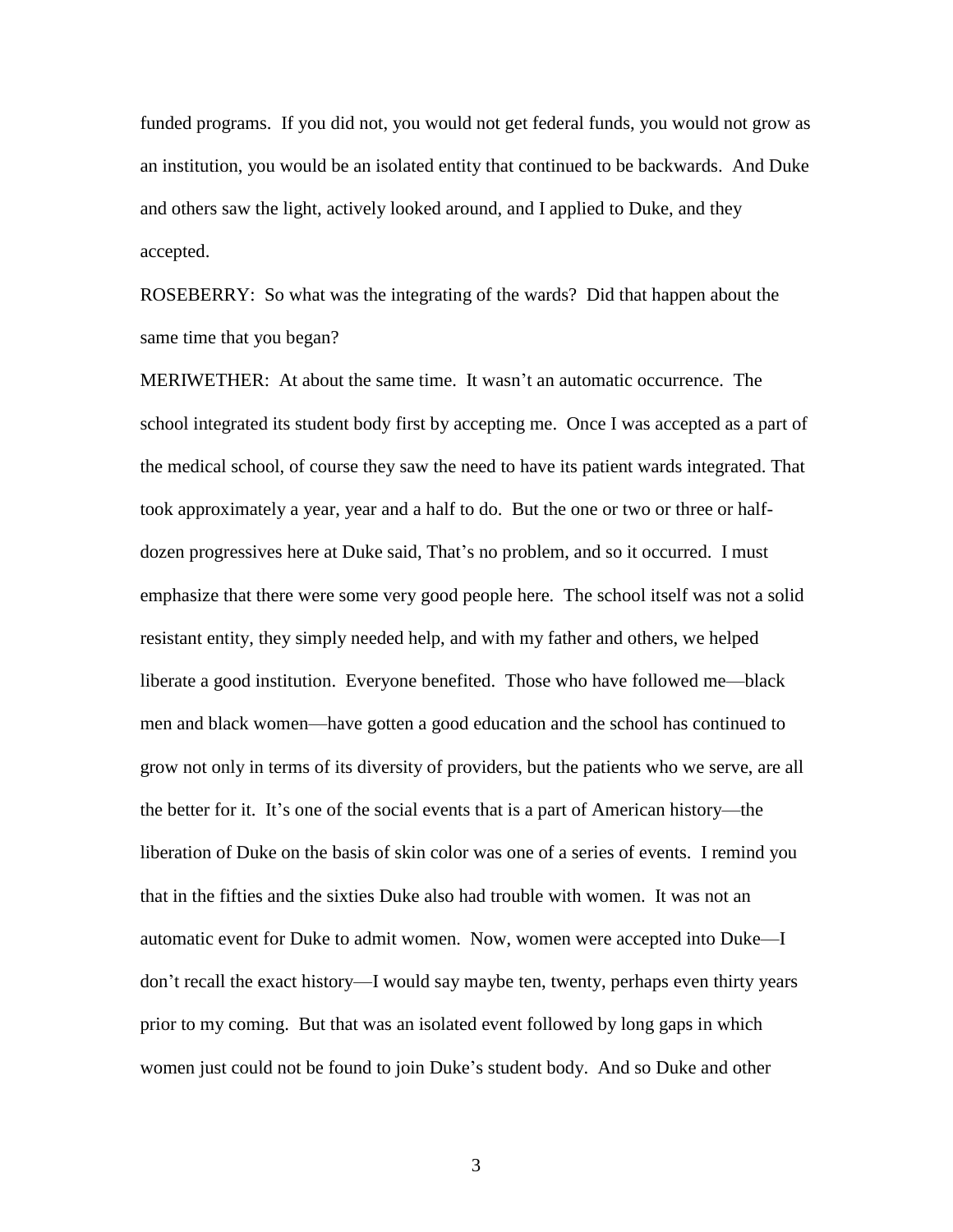funded programs. If you did not, you would not get federal funds, you would not grow as an institution, you would be an isolated entity that continued to be backwards. And Duke and others saw the light, actively looked around, and I applied to Duke, and they accepted.

ROSEBERRY: So what was the integrating of the wards? Did that happen about the same time that you began?

MERIWETHER: At about the same time. It wasn't an automatic occurrence. The school integrated its student body first by accepting me. Once I was accepted as a part of the medical school, of course they saw the need to have its patient wards integrated. That took approximately a year, year and a half to do. But the one or two or three or halfdozen progressives here at Duke said, That's no problem, and so it occurred. I must emphasize that there were some very good people here. The school itself was not a solid resistant entity, they simply needed help, and with my father and others, we helped liberate a good institution. Everyone benefited. Those who have followed me—black men and black women—have gotten a good education and the school has continued to grow not only in terms of its diversity of providers, but the patients who we serve, are all the better for it. It's one of the social events that is a part of American history—the liberation of Duke on the basis of skin color was one of a series of events. I remind you that in the fifties and the sixties Duke also had trouble with women. It was not an automatic event for Duke to admit women. Now, women were accepted into Duke—I don't recall the exact history—I would say maybe ten, twenty, perhaps even thirty years prior to my coming. But that was an isolated event followed by long gaps in which women just could not be found to join Duke's student body. And so Duke and other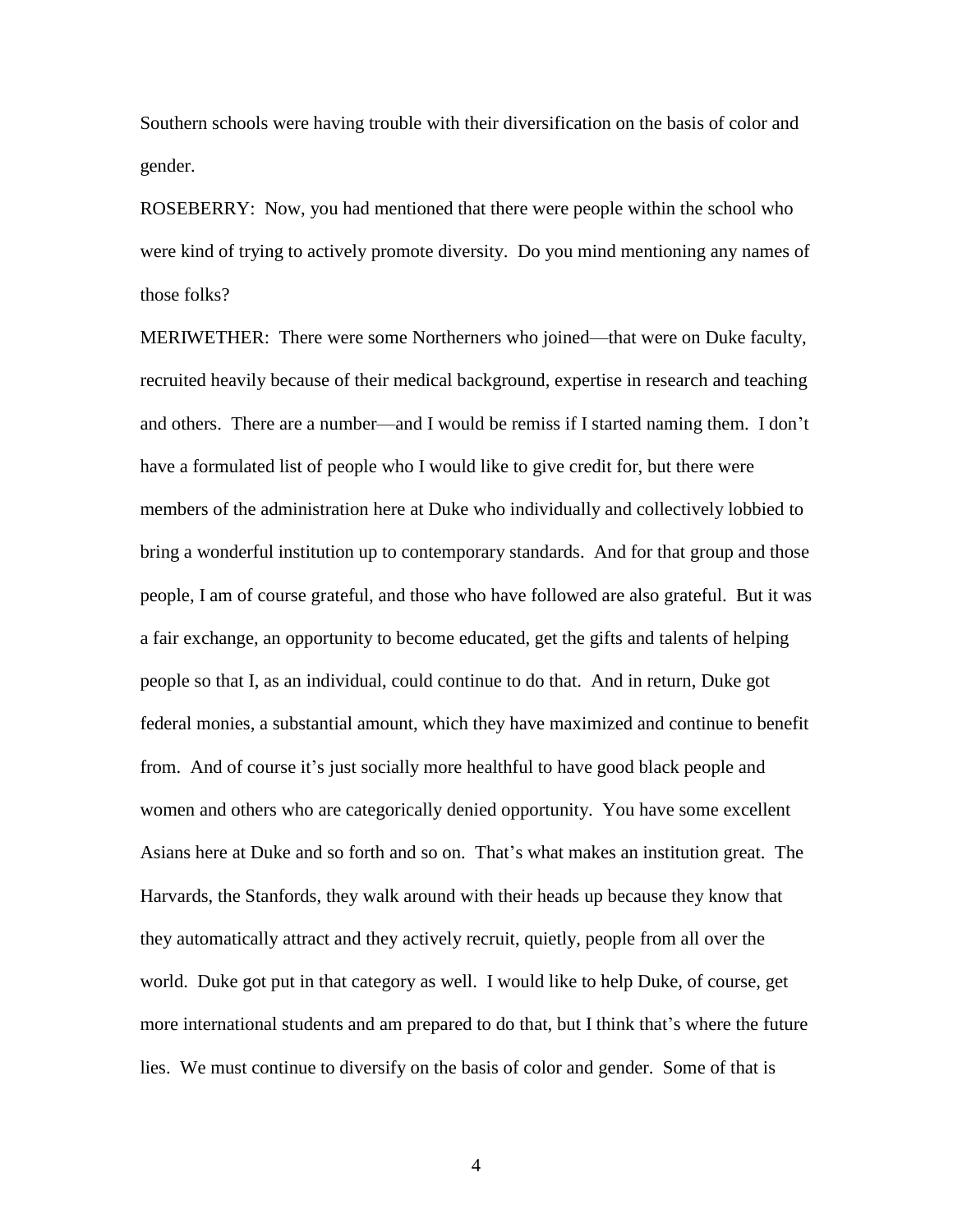Southern schools were having trouble with their diversification on the basis of color and gender.

ROSEBERRY: Now, you had mentioned that there were people within the school who were kind of trying to actively promote diversity. Do you mind mentioning any names of those folks?

MERIWETHER: There were some Northerners who joined—that were on Duke faculty, recruited heavily because of their medical background, expertise in research and teaching and others. There are a number—and I would be remiss if I started naming them. I don't have a formulated list of people who I would like to give credit for, but there were members of the administration here at Duke who individually and collectively lobbied to bring a wonderful institution up to contemporary standards. And for that group and those people, I am of course grateful, and those who have followed are also grateful. But it was a fair exchange, an opportunity to become educated, get the gifts and talents of helping people so that I, as an individual, could continue to do that. And in return, Duke got federal monies, a substantial amount, which they have maximized and continue to benefit from. And of course it's just socially more healthful to have good black people and women and others who are categorically denied opportunity. You have some excellent Asians here at Duke and so forth and so on. That's what makes an institution great. The Harvards, the Stanfords, they walk around with their heads up because they know that they automatically attract and they actively recruit, quietly, people from all over the world. Duke got put in that category as well. I would like to help Duke, of course, get more international students and am prepared to do that, but I think that's where the future lies. We must continue to diversify on the basis of color and gender. Some of that is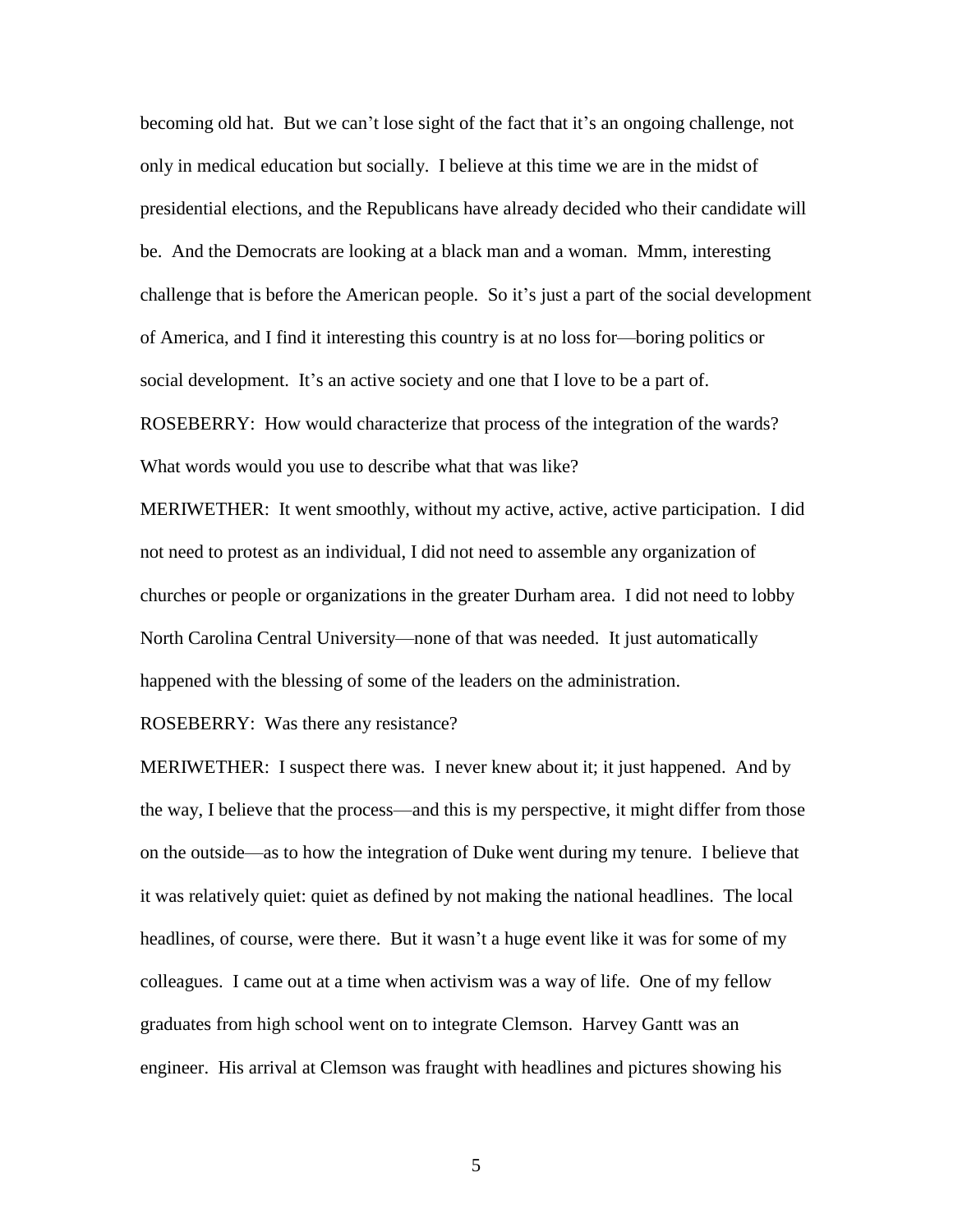becoming old hat. But we can't lose sight of the fact that it's an ongoing challenge, not only in medical education but socially. I believe at this time we are in the midst of presidential elections, and the Republicans have already decided who their candidate will be. And the Democrats are looking at a black man and a woman. Mmm, interesting challenge that is before the American people. So it's just a part of the social development of America, and I find it interesting this country is at no loss for—boring politics or social development. It's an active society and one that I love to be a part of. ROSEBERRY: How would characterize that process of the integration of the wards? What words would you use to describe what that was like?

MERIWETHER: It went smoothly, without my active, active, active participation. I did not need to protest as an individual, I did not need to assemble any organization of churches or people or organizations in the greater Durham area. I did not need to lobby North Carolina Central University—none of that was needed. It just automatically happened with the blessing of some of the leaders on the administration.

ROSEBERRY: Was there any resistance?

MERIWETHER: I suspect there was. I never knew about it; it just happened. And by the way, I believe that the process—and this is my perspective, it might differ from those on the outside—as to how the integration of Duke went during my tenure. I believe that it was relatively quiet: quiet as defined by not making the national headlines. The local headlines, of course, were there. But it wasn't a huge event like it was for some of my colleagues. I came out at a time when activism was a way of life. One of my fellow graduates from high school went on to integrate Clemson. Harvey Gantt was an engineer. His arrival at Clemson was fraught with headlines and pictures showing his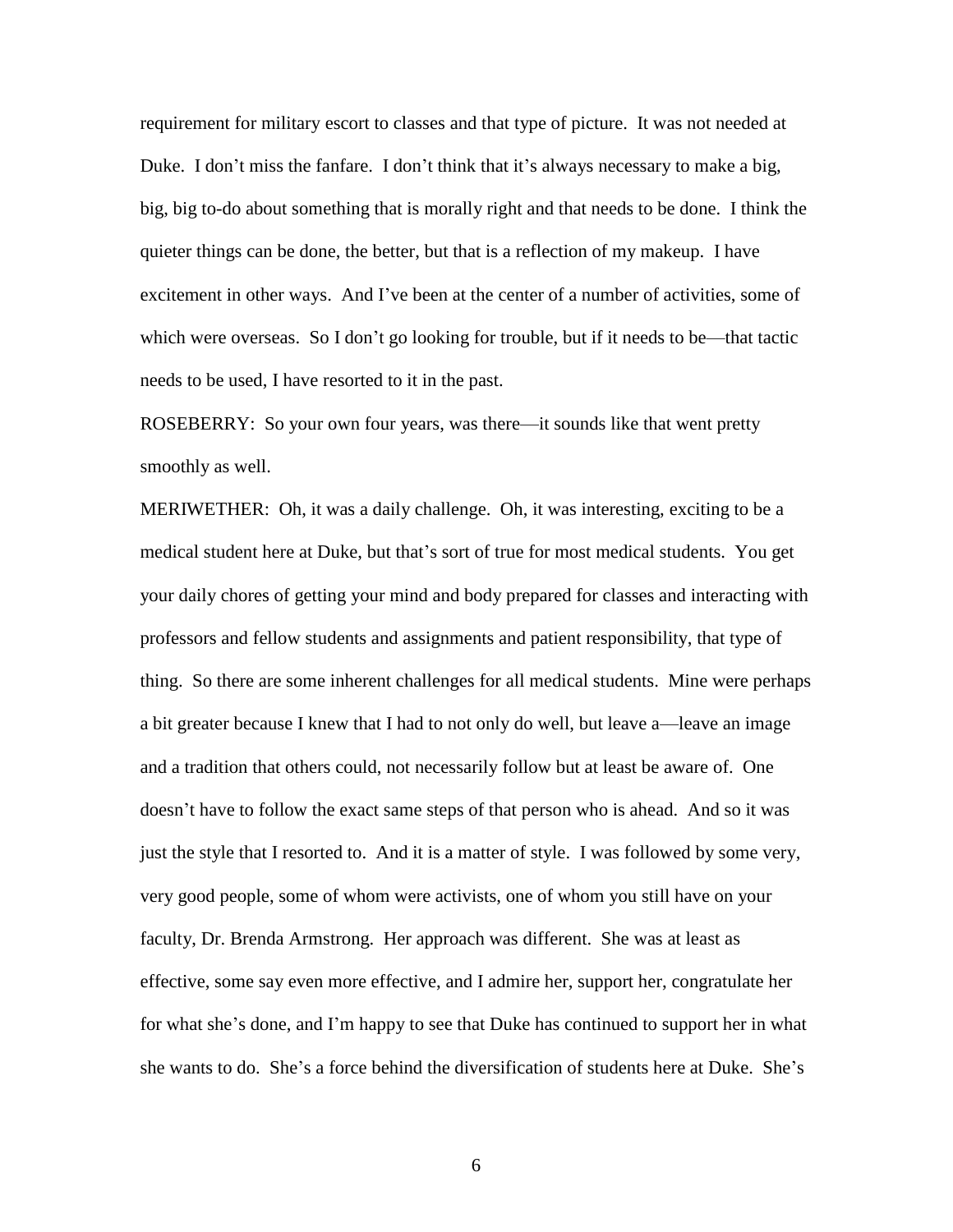requirement for military escort to classes and that type of picture. It was not needed at Duke. I don't miss the fanfare. I don't think that it's always necessary to make a big, big, big to-do about something that is morally right and that needs to be done. I think the quieter things can be done, the better, but that is a reflection of my makeup. I have excitement in other ways. And I've been at the center of a number of activities, some of which were overseas. So I don't go looking for trouble, but if it needs to be—that tactic needs to be used, I have resorted to it in the past.

ROSEBERRY: So your own four years, was there—it sounds like that went pretty smoothly as well.

MERIWETHER: Oh, it was a daily challenge. Oh, it was interesting, exciting to be a medical student here at Duke, but that's sort of true for most medical students. You get your daily chores of getting your mind and body prepared for classes and interacting with professors and fellow students and assignments and patient responsibility, that type of thing. So there are some inherent challenges for all medical students. Mine were perhaps a bit greater because I knew that I had to not only do well, but leave a—leave an image and a tradition that others could, not necessarily follow but at least be aware of. One doesn't have to follow the exact same steps of that person who is ahead. And so it was just the style that I resorted to. And it is a matter of style. I was followed by some very, very good people, some of whom were activists, one of whom you still have on your faculty, Dr. Brenda Armstrong. Her approach was different. She was at least as effective, some say even more effective, and I admire her, support her, congratulate her for what she's done, and I'm happy to see that Duke has continued to support her in what she wants to do. She's a force behind the diversification of students here at Duke. She's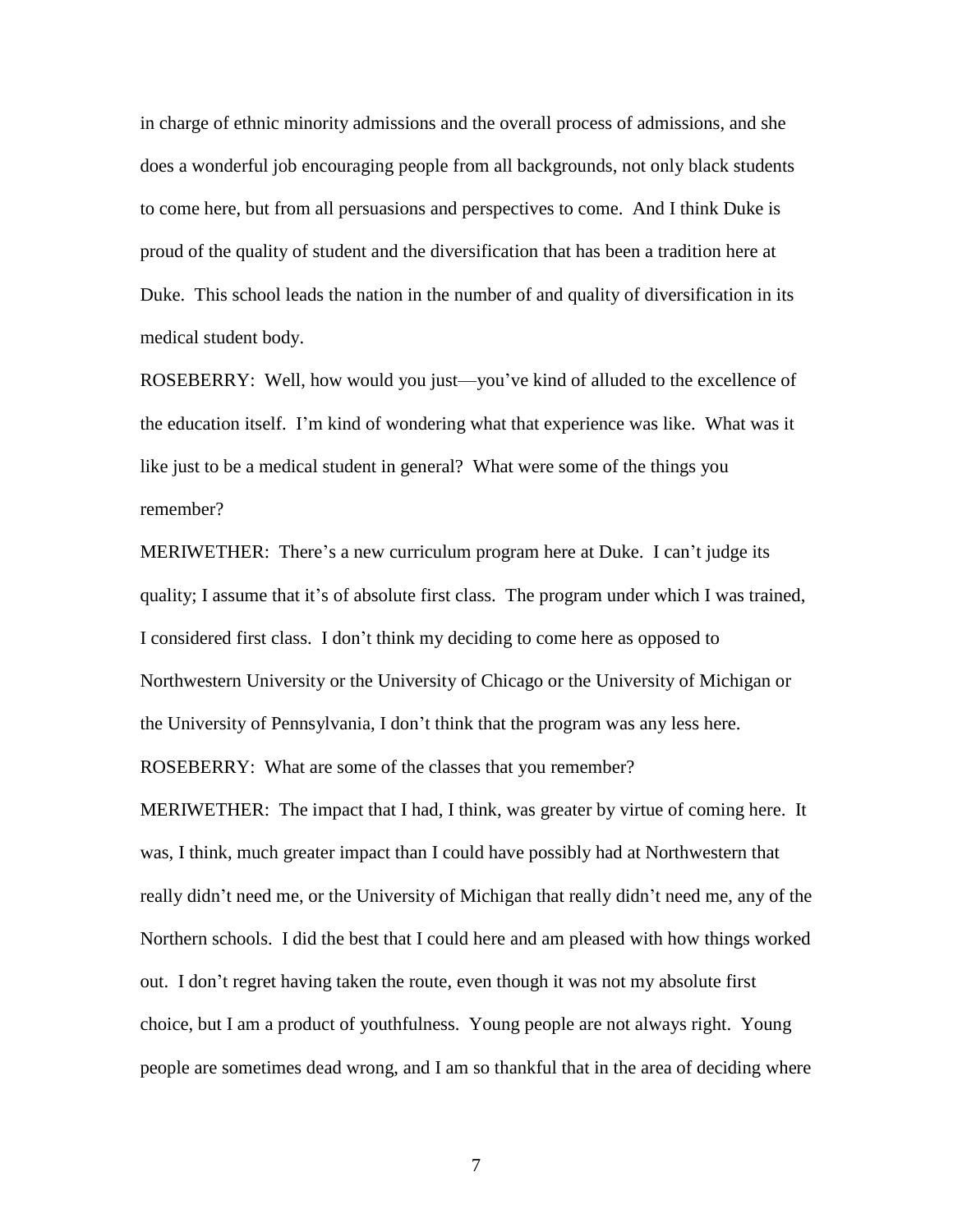in charge of ethnic minority admissions and the overall process of admissions, and she does a wonderful job encouraging people from all backgrounds, not only black students to come here, but from all persuasions and perspectives to come. And I think Duke is proud of the quality of student and the diversification that has been a tradition here at Duke. This school leads the nation in the number of and quality of diversification in its medical student body.

ROSEBERRY: Well, how would you just—you've kind of alluded to the excellence of the education itself. I'm kind of wondering what that experience was like. What was it like just to be a medical student in general? What were some of the things you remember?

MERIWETHER: There's a new curriculum program here at Duke. I can't judge its quality; I assume that it's of absolute first class. The program under which I was trained, I considered first class. I don't think my deciding to come here as opposed to Northwestern University or the University of Chicago or the University of Michigan or the University of Pennsylvania, I don't think that the program was any less here.

ROSEBERRY: What are some of the classes that you remember?

MERIWETHER: The impact that I had, I think, was greater by virtue of coming here. It was, I think, much greater impact than I could have possibly had at Northwestern that really didn't need me, or the University of Michigan that really didn't need me, any of the Northern schools. I did the best that I could here and am pleased with how things worked out. I don't regret having taken the route, even though it was not my absolute first choice, but I am a product of youthfulness. Young people are not always right. Young people are sometimes dead wrong, and I am so thankful that in the area of deciding where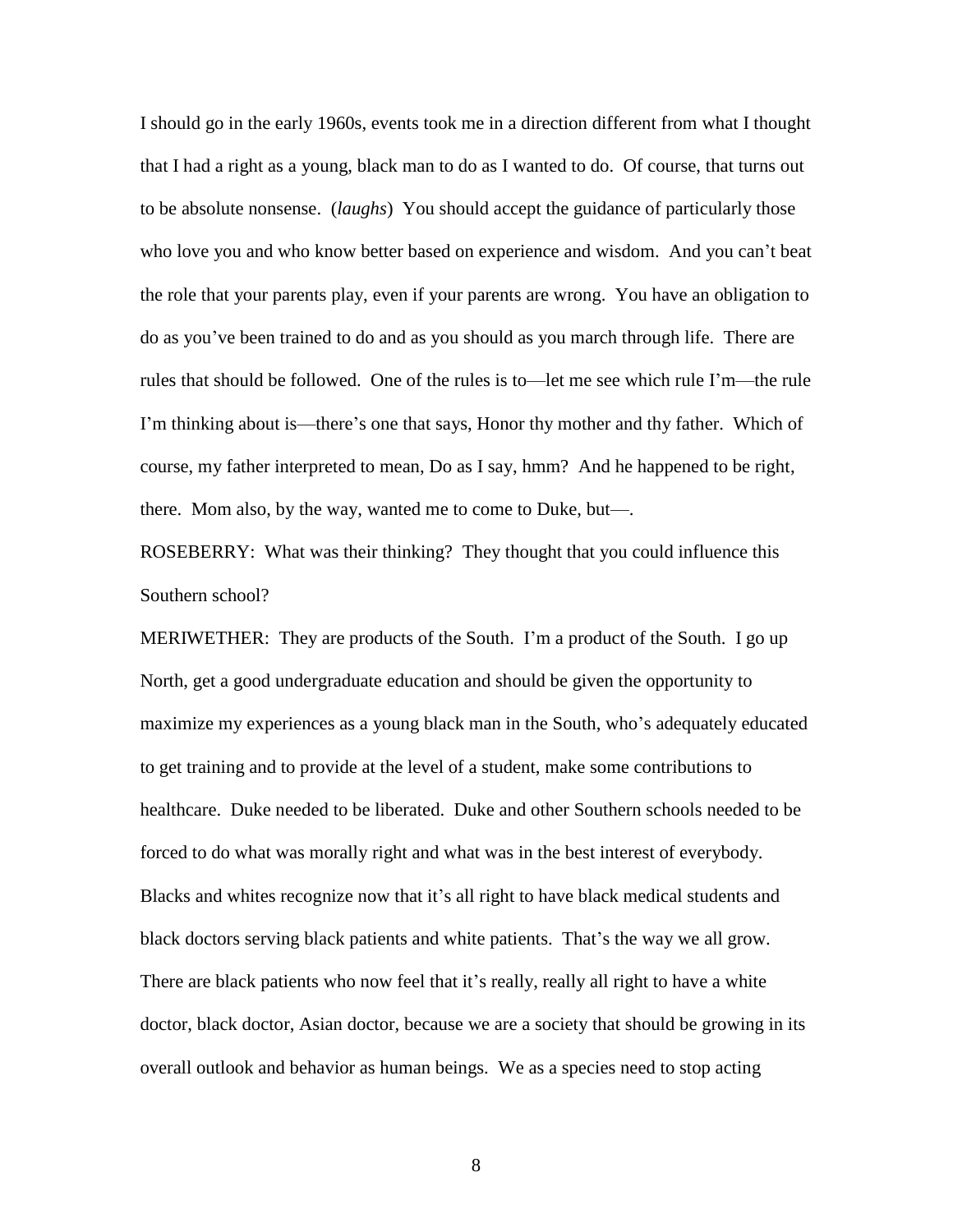I should go in the early 1960s, events took me in a direction different from what I thought that I had a right as a young, black man to do as I wanted to do. Of course, that turns out to be absolute nonsense. (*laughs*) You should accept the guidance of particularly those who love you and who know better based on experience and wisdom. And you can't beat the role that your parents play, even if your parents are wrong. You have an obligation to do as you've been trained to do and as you should as you march through life. There are rules that should be followed. One of the rules is to—let me see which rule I'm—the rule I'm thinking about is—there's one that says, Honor thy mother and thy father. Which of course, my father interpreted to mean, Do as I say, hmm? And he happened to be right, there. Mom also, by the way, wanted me to come to Duke, but—.

ROSEBERRY: What was their thinking? They thought that you could influence this Southern school?

MERIWETHER: They are products of the South. I'm a product of the South. I go up North, get a good undergraduate education and should be given the opportunity to maximize my experiences as a young black man in the South, who's adequately educated to get training and to provide at the level of a student, make some contributions to healthcare. Duke needed to be liberated. Duke and other Southern schools needed to be forced to do what was morally right and what was in the best interest of everybody. Blacks and whites recognize now that it's all right to have black medical students and black doctors serving black patients and white patients. That's the way we all grow. There are black patients who now feel that it's really, really all right to have a white doctor, black doctor, Asian doctor, because we are a society that should be growing in its overall outlook and behavior as human beings. We as a species need to stop acting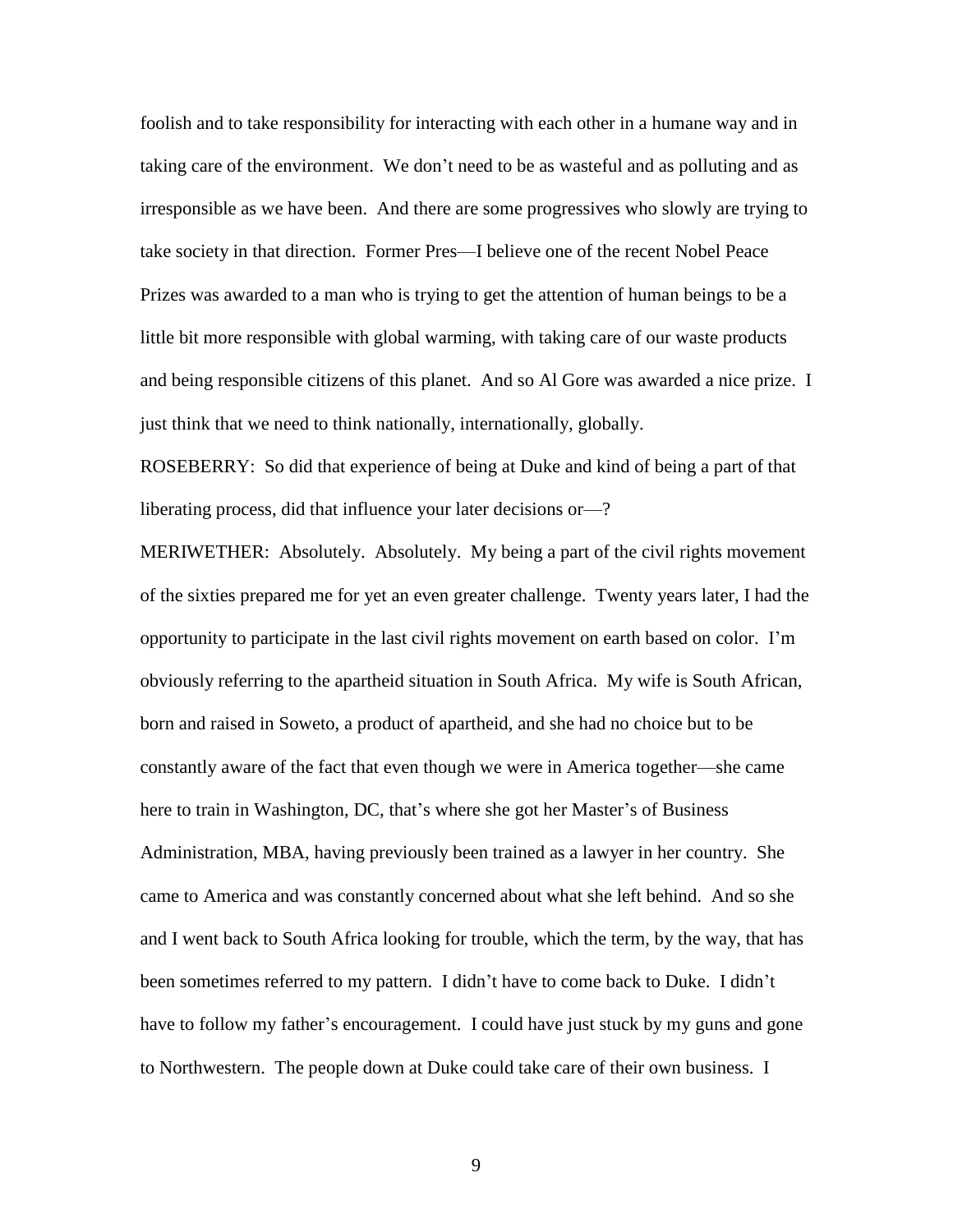foolish and to take responsibility for interacting with each other in a humane way and in taking care of the environment. We don't need to be as wasteful and as polluting and as irresponsible as we have been. And there are some progressives who slowly are trying to take society in that direction. Former Pres—I believe one of the recent Nobel Peace Prizes was awarded to a man who is trying to get the attention of human beings to be a little bit more responsible with global warming, with taking care of our waste products and being responsible citizens of this planet. And so Al Gore was awarded a nice prize. I just think that we need to think nationally, internationally, globally.

ROSEBERRY: So did that experience of being at Duke and kind of being a part of that liberating process, did that influence your later decisions or—?

MERIWETHER: Absolutely. Absolutely. My being a part of the civil rights movement of the sixties prepared me for yet an even greater challenge. Twenty years later, I had the opportunity to participate in the last civil rights movement on earth based on color. I'm obviously referring to the apartheid situation in South Africa. My wife is South African, born and raised in Soweto, a product of apartheid, and she had no choice but to be constantly aware of the fact that even though we were in America together—she came here to train in Washington, DC, that's where she got her Master's of Business Administration, MBA, having previously been trained as a lawyer in her country. She came to America and was constantly concerned about what she left behind. And so she and I went back to South Africa looking for trouble, which the term, by the way, that has been sometimes referred to my pattern. I didn't have to come back to Duke. I didn't have to follow my father's encouragement. I could have just stuck by my guns and gone to Northwestern. The people down at Duke could take care of their own business. I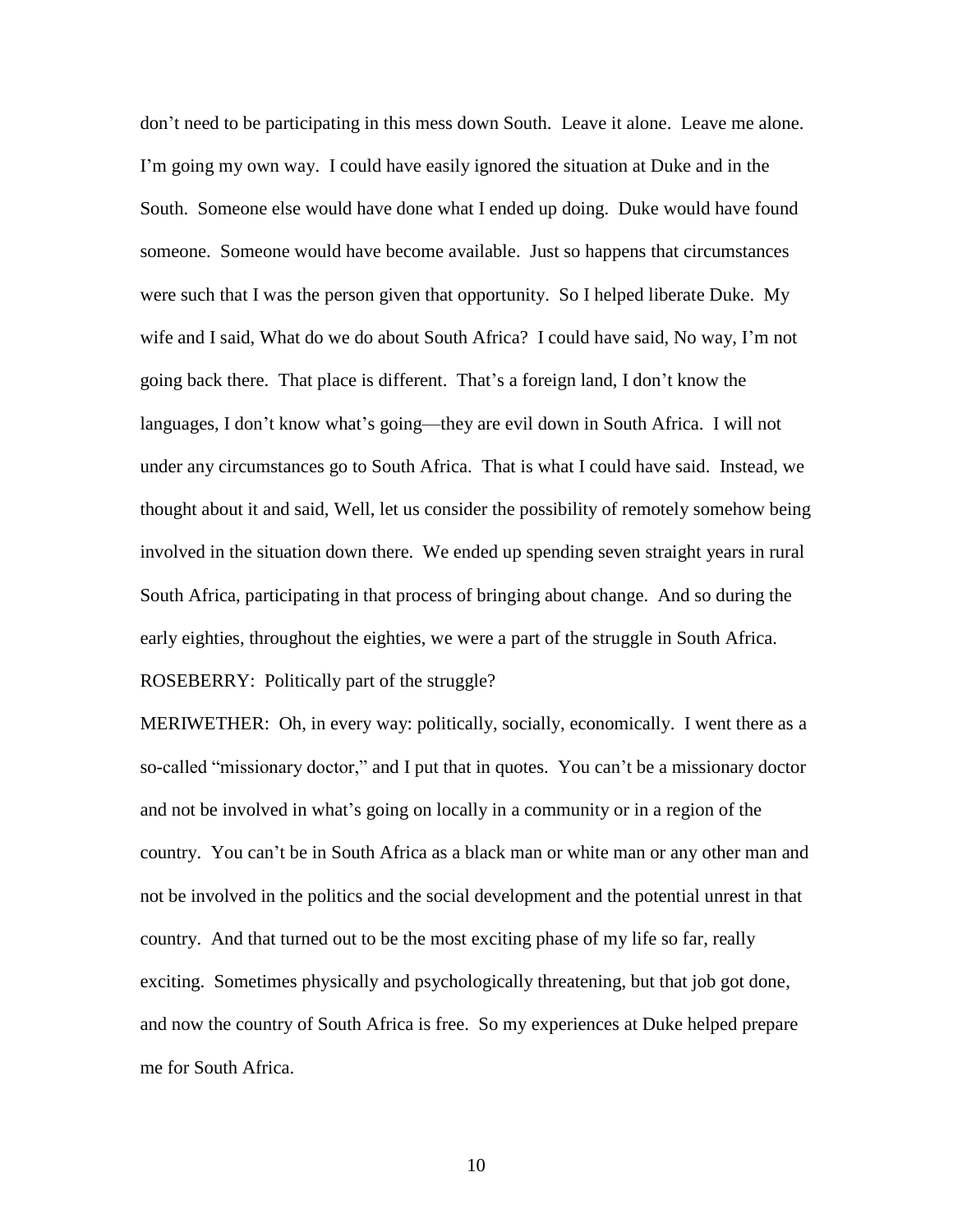don't need to be participating in this mess down South. Leave it alone. Leave me alone. I'm going my own way. I could have easily ignored the situation at Duke and in the South. Someone else would have done what I ended up doing. Duke would have found someone. Someone would have become available. Just so happens that circumstances were such that I was the person given that opportunity. So I helped liberate Duke. My wife and I said, What do we do about South Africa? I could have said, No way, I'm not going back there. That place is different. That's a foreign land, I don't know the languages, I don't know what's going—they are evil down in South Africa. I will not under any circumstances go to South Africa. That is what I could have said. Instead, we thought about it and said, Well, let us consider the possibility of remotely somehow being involved in the situation down there. We ended up spending seven straight years in rural South Africa, participating in that process of bringing about change. And so during the early eighties, throughout the eighties, we were a part of the struggle in South Africa. ROSEBERRY: Politically part of the struggle?

MERIWETHER: Oh, in every way: politically, socially, economically. I went there as a so-called "missionary doctor," and I put that in quotes. You can't be a missionary doctor and not be involved in what's going on locally in a community or in a region of the country. You can't be in South Africa as a black man or white man or any other man and not be involved in the politics and the social development and the potential unrest in that country. And that turned out to be the most exciting phase of my life so far, really exciting. Sometimes physically and psychologically threatening, but that job got done, and now the country of South Africa is free. So my experiences at Duke helped prepare me for South Africa.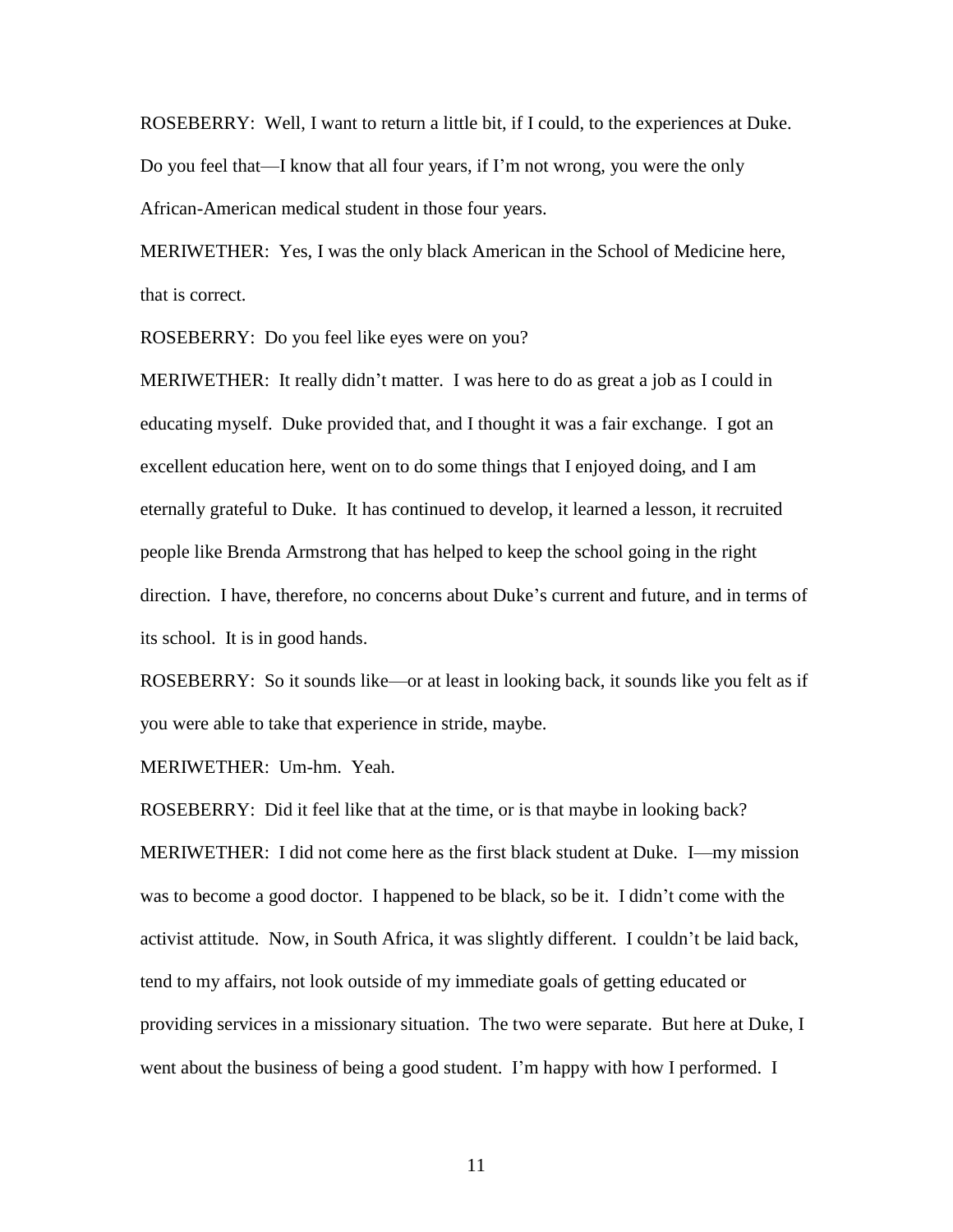ROSEBERRY: Well, I want to return a little bit, if I could, to the experiences at Duke. Do you feel that—I know that all four years, if I'm not wrong, you were the only African-American medical student in those four years.

MERIWETHER: Yes, I was the only black American in the School of Medicine here, that is correct.

ROSEBERRY: Do you feel like eyes were on you?

MERIWETHER: It really didn't matter. I was here to do as great a job as I could in educating myself. Duke provided that, and I thought it was a fair exchange. I got an excellent education here, went on to do some things that I enjoyed doing, and I am eternally grateful to Duke. It has continued to develop, it learned a lesson, it recruited people like Brenda Armstrong that has helped to keep the school going in the right direction. I have, therefore, no concerns about Duke's current and future, and in terms of its school. It is in good hands.

ROSEBERRY: So it sounds like—or at least in looking back, it sounds like you felt as if you were able to take that experience in stride, maybe.

MERIWETHER: Um-hm. Yeah.

ROSEBERRY: Did it feel like that at the time, or is that maybe in looking back? MERIWETHER: I did not come here as the first black student at Duke. I—my mission was to become a good doctor. I happened to be black, so be it. I didn't come with the activist attitude. Now, in South Africa, it was slightly different. I couldn't be laid back, tend to my affairs, not look outside of my immediate goals of getting educated or providing services in a missionary situation. The two were separate. But here at Duke, I went about the business of being a good student. I'm happy with how I performed. I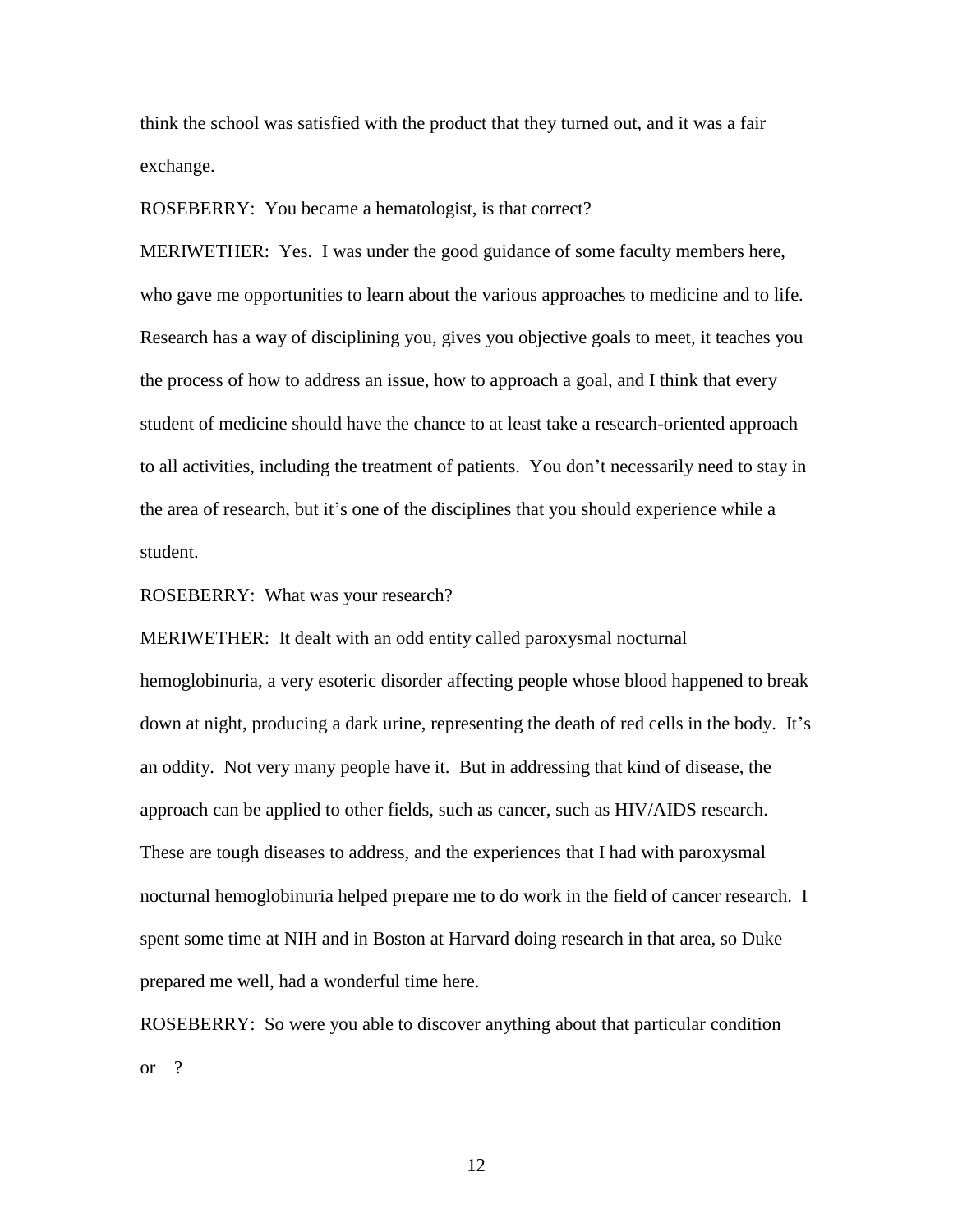think the school was satisfied with the product that they turned out, and it was a fair exchange.

ROSEBERRY: You became a hematologist, is that correct?

MERIWETHER: Yes. I was under the good guidance of some faculty members here, who gave me opportunities to learn about the various approaches to medicine and to life. Research has a way of disciplining you, gives you objective goals to meet, it teaches you the process of how to address an issue, how to approach a goal, and I think that every student of medicine should have the chance to at least take a research-oriented approach to all activities, including the treatment of patients. You don't necessarily need to stay in the area of research, but it's one of the disciplines that you should experience while a student.

ROSEBERRY: What was your research?

MERIWETHER: It dealt with an odd entity called paroxysmal nocturnal hemoglobinuria, a very esoteric disorder affecting people whose blood happened to break down at night, producing a dark urine, representing the death of red cells in the body. It's an oddity. Not very many people have it. But in addressing that kind of disease, the approach can be applied to other fields, such as cancer, such as HIV/AIDS research. These are tough diseases to address, and the experiences that I had with paroxysmal nocturnal hemoglobinuria helped prepare me to do work in the field of cancer research. I spent some time at NIH and in Boston at Harvard doing research in that area, so Duke prepared me well, had a wonderful time here.

ROSEBERRY: So were you able to discover anything about that particular condition  $or -?$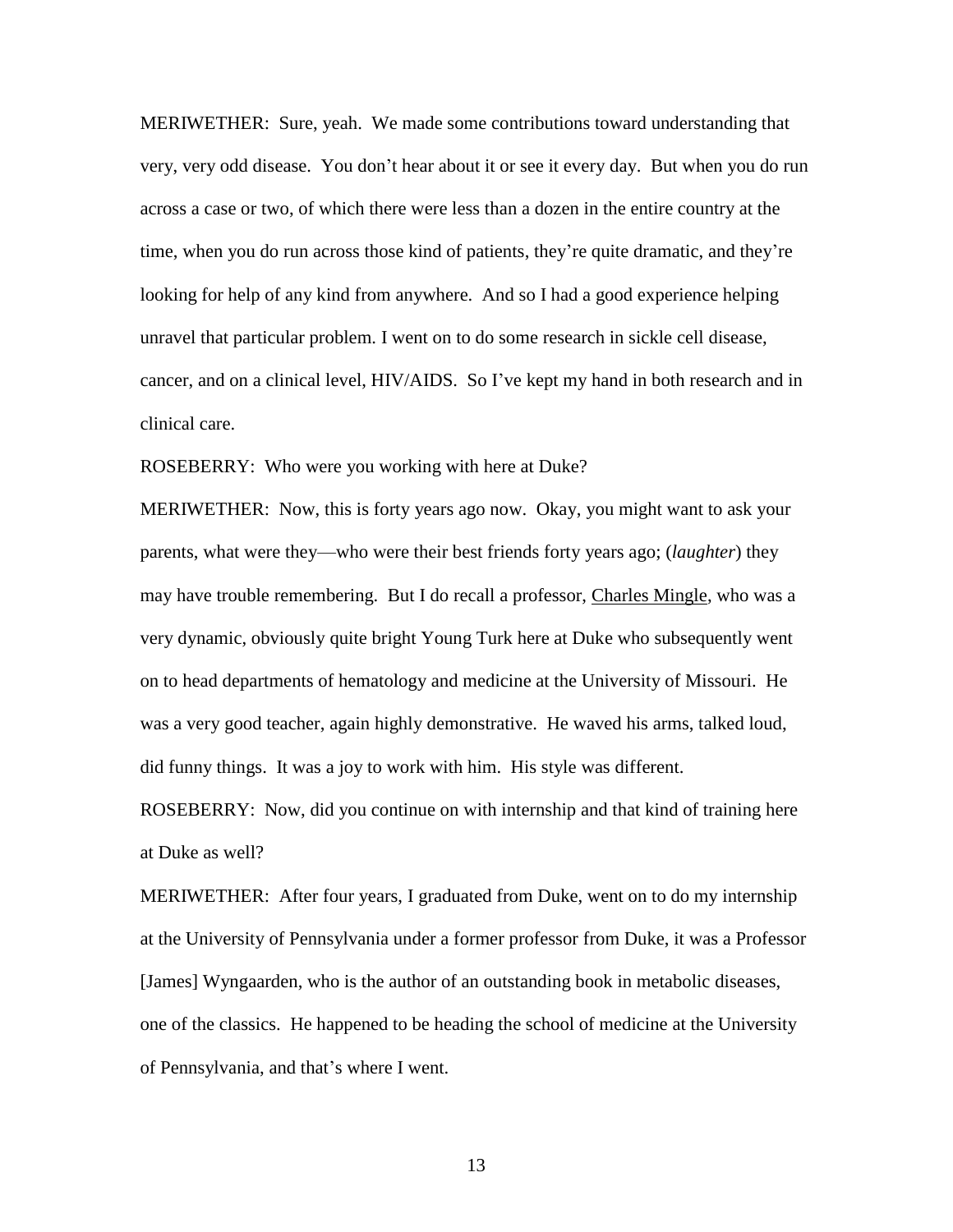MERIWETHER: Sure, yeah. We made some contributions toward understanding that very, very odd disease. You don't hear about it or see it every day. But when you do run across a case or two, of which there were less than a dozen in the entire country at the time, when you do run across those kind of patients, they're quite dramatic, and they're looking for help of any kind from anywhere. And so I had a good experience helping unravel that particular problem. I went on to do some research in sickle cell disease, cancer, and on a clinical level, HIV/AIDS. So I've kept my hand in both research and in clinical care.

ROSEBERRY: Who were you working with here at Duke?

MERIWETHER: Now, this is forty years ago now. Okay, you might want to ask your parents, what were they—who were their best friends forty years ago; (*laughter*) they may have trouble remembering. But I do recall a professor, Charles Mingle, who was a very dynamic, obviously quite bright Young Turk here at Duke who subsequently went on to head departments of hematology and medicine at the University of Missouri. He was a very good teacher, again highly demonstrative. He waved his arms, talked loud, did funny things. It was a joy to work with him. His style was different.

ROSEBERRY: Now, did you continue on with internship and that kind of training here at Duke as well?

MERIWETHER: After four years, I graduated from Duke, went on to do my internship at the University of Pennsylvania under a former professor from Duke, it was a Professor [James] Wyngaarden, who is the author of an outstanding book in metabolic diseases, one of the classics. He happened to be heading the school of medicine at the University of Pennsylvania, and that's where I went.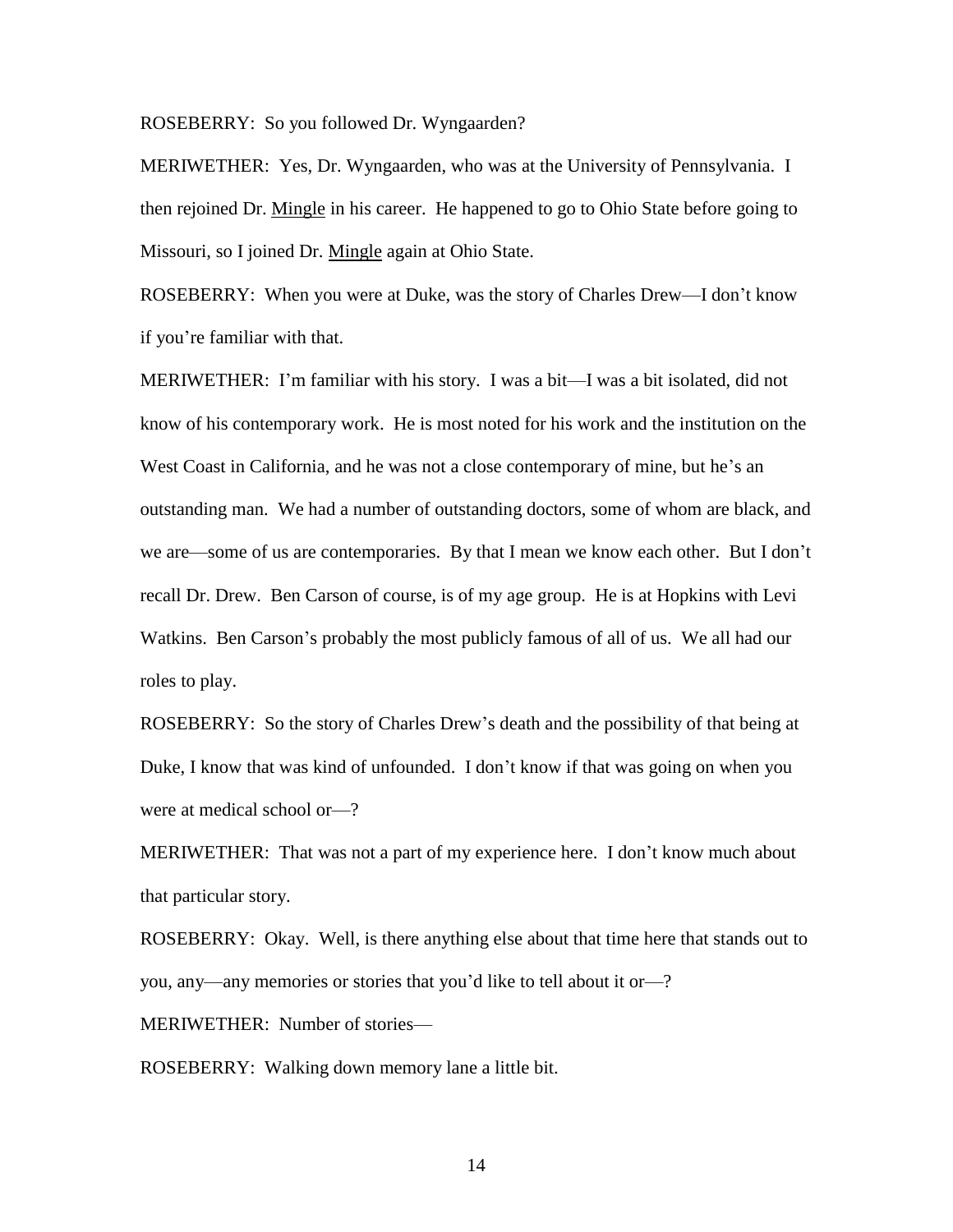ROSEBERRY: So you followed Dr. Wyngaarden?

MERIWETHER: Yes, Dr. Wyngaarden, who was at the University of Pennsylvania. I then rejoined Dr. Mingle in his career. He happened to go to Ohio State before going to Missouri, so I joined Dr. Mingle again at Ohio State.

ROSEBERRY: When you were at Duke, was the story of Charles Drew—I don't know if you're familiar with that.

MERIWETHER: I'm familiar with his story. I was a bit—I was a bit isolated, did not know of his contemporary work. He is most noted for his work and the institution on the West Coast in California, and he was not a close contemporary of mine, but he's an outstanding man. We had a number of outstanding doctors, some of whom are black, and we are—some of us are contemporaries. By that I mean we know each other. But I don't recall Dr. Drew. Ben Carson of course, is of my age group. He is at Hopkins with Levi Watkins. Ben Carson's probably the most publicly famous of all of us. We all had our roles to play.

ROSEBERRY: So the story of Charles Drew's death and the possibility of that being at Duke, I know that was kind of unfounded. I don't know if that was going on when you were at medical school or—?

MERIWETHER: That was not a part of my experience here. I don't know much about that particular story.

ROSEBERRY: Okay. Well, is there anything else about that time here that stands out to you, any—any memories or stories that you'd like to tell about it or—?

MERIWETHER: Number of stories—

ROSEBERRY: Walking down memory lane a little bit.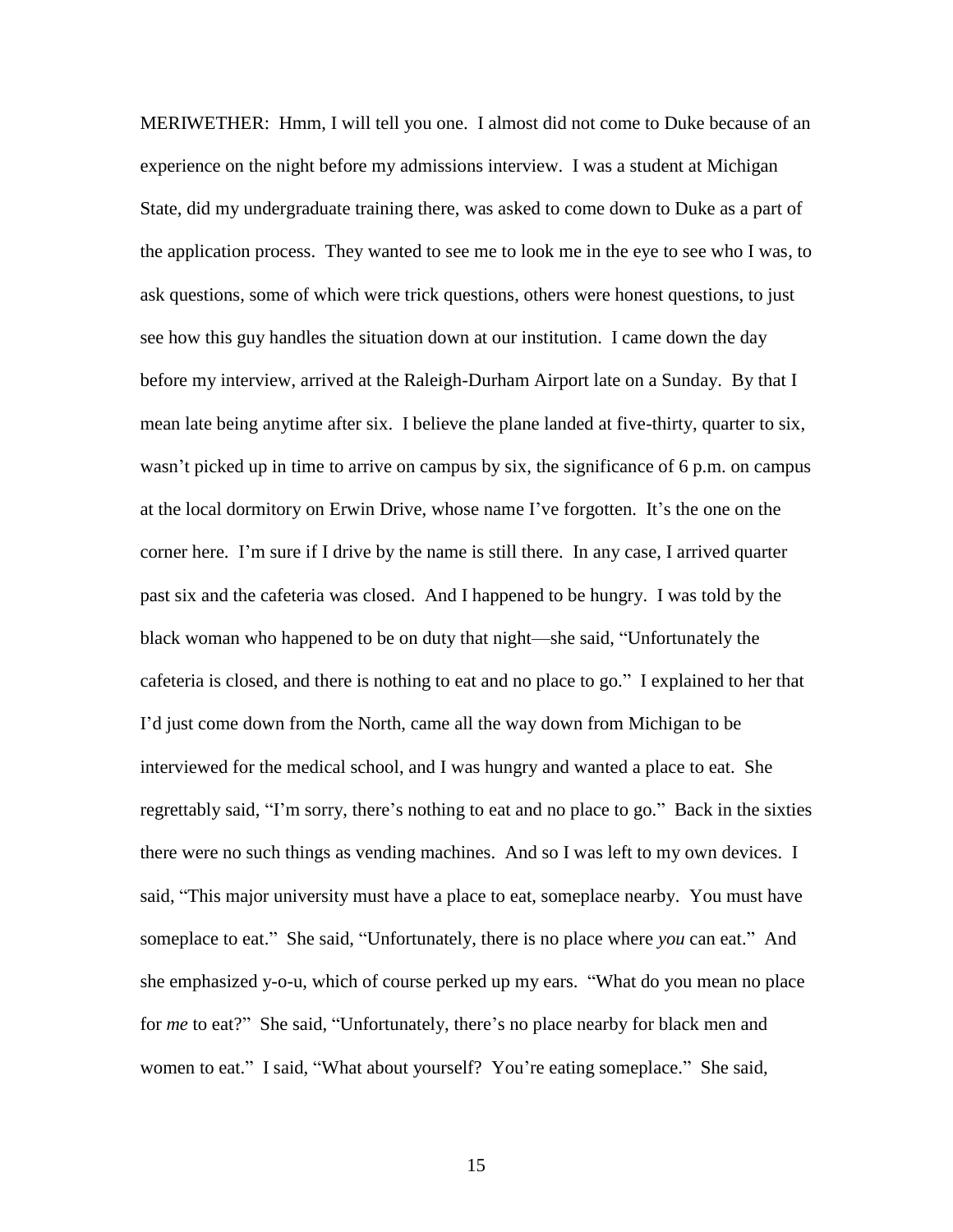MERIWETHER: Hmm, I will tell you one. I almost did not come to Duke because of an experience on the night before my admissions interview. I was a student at Michigan State, did my undergraduate training there, was asked to come down to Duke as a part of the application process. They wanted to see me to look me in the eye to see who I was, to ask questions, some of which were trick questions, others were honest questions, to just see how this guy handles the situation down at our institution. I came down the day before my interview, arrived at the Raleigh-Durham Airport late on a Sunday. By that I mean late being anytime after six. I believe the plane landed at five-thirty, quarter to six, wasn't picked up in time to arrive on campus by six, the significance of 6 p.m. on campus at the local dormitory on Erwin Drive, whose name I've forgotten. It's the one on the corner here. I'm sure if I drive by the name is still there. In any case, I arrived quarter past six and the cafeteria was closed. And I happened to be hungry. I was told by the black woman who happened to be on duty that night—she said, "Unfortunately the cafeteria is closed, and there is nothing to eat and no place to go." I explained to her that I'd just come down from the North, came all the way down from Michigan to be interviewed for the medical school, and I was hungry and wanted a place to eat. She regrettably said, "I'm sorry, there's nothing to eat and no place to go." Back in the sixties there were no such things as vending machines. And so I was left to my own devices. I said, "This major university must have a place to eat, someplace nearby. You must have someplace to eat." She said, "Unfortunately, there is no place where *you* can eat." And she emphasized y-o-u, which of course perked up my ears. "What do you mean no place for *me* to eat?" She said, "Unfortunately, there's no place nearby for black men and women to eat." I said, "What about yourself? You're eating someplace." She said,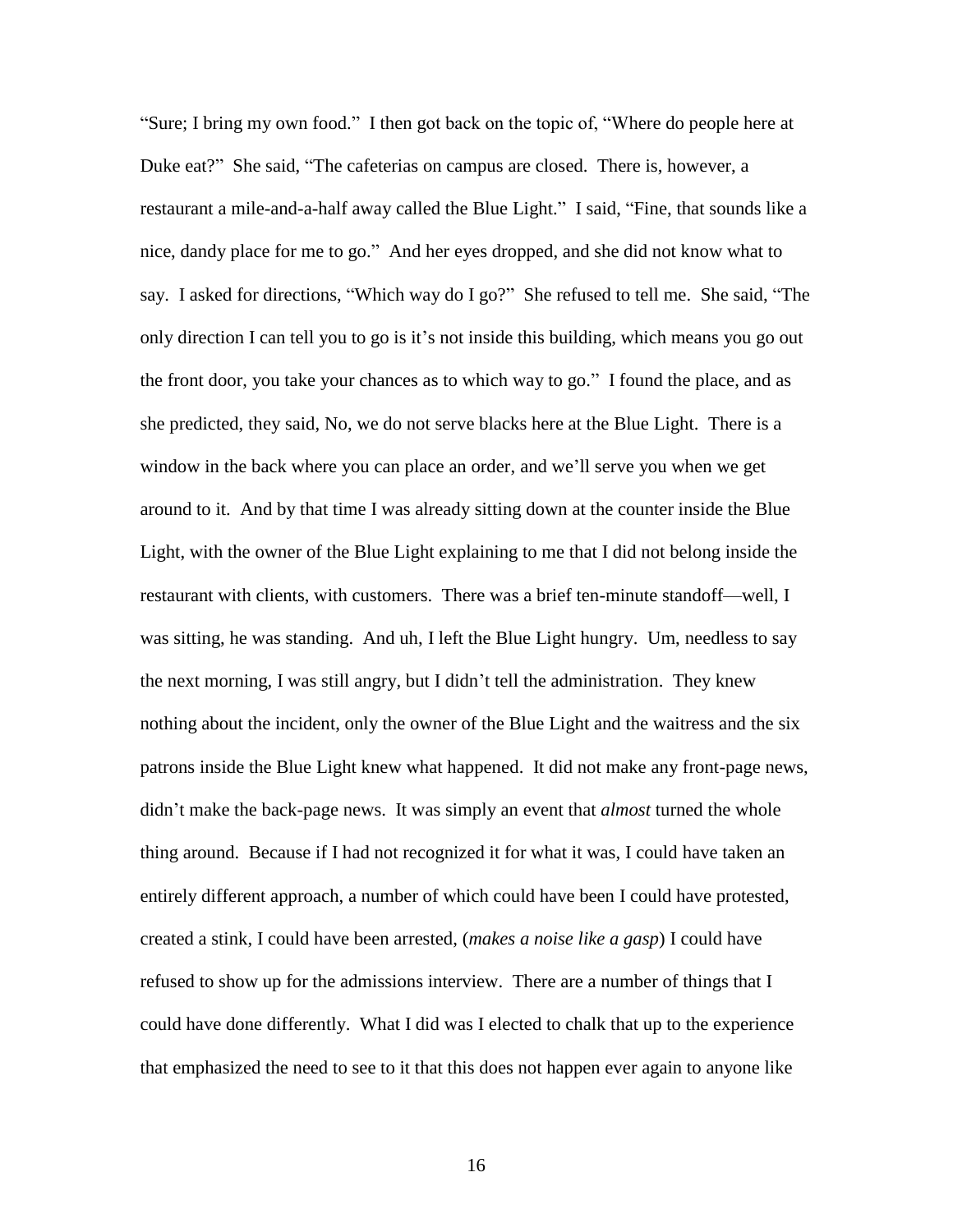"Sure; I bring my own food." I then got back on the topic of, "Where do people here at Duke eat?" She said, "The cafeterias on campus are closed. There is, however, a restaurant a mile-and-a-half away called the Blue Light." I said, "Fine, that sounds like a nice, dandy place for me to go." And her eyes dropped, and she did not know what to say. I asked for directions, "Which way do I go?" She refused to tell me. She said, "The only direction I can tell you to go is it's not inside this building, which means you go out the front door, you take your chances as to which way to go." I found the place, and as she predicted, they said, No, we do not serve blacks here at the Blue Light. There is a window in the back where you can place an order, and we'll serve you when we get around to it. And by that time I was already sitting down at the counter inside the Blue Light, with the owner of the Blue Light explaining to me that I did not belong inside the restaurant with clients, with customers. There was a brief ten-minute standoff—well, I was sitting, he was standing. And uh, I left the Blue Light hungry. Um, needless to say the next morning, I was still angry, but I didn't tell the administration. They knew nothing about the incident, only the owner of the Blue Light and the waitress and the six patrons inside the Blue Light knew what happened. It did not make any front-page news, didn't make the back-page news. It was simply an event that *almost* turned the whole thing around. Because if I had not recognized it for what it was, I could have taken an entirely different approach, a number of which could have been I could have protested, created a stink, I could have been arrested, (*makes a noise like a gasp*) I could have refused to show up for the admissions interview. There are a number of things that I could have done differently. What I did was I elected to chalk that up to the experience that emphasized the need to see to it that this does not happen ever again to anyone like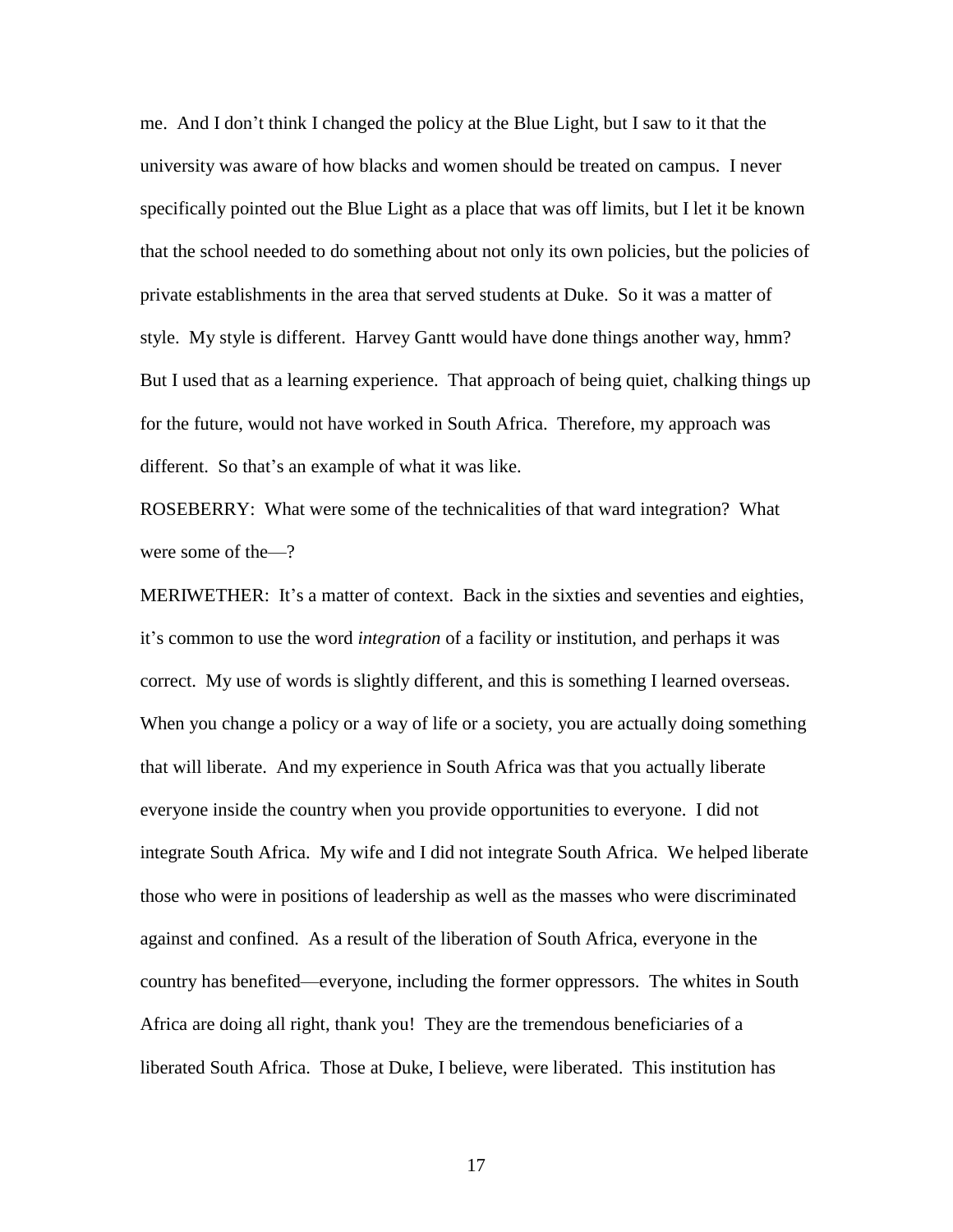me. And I don't think I changed the policy at the Blue Light, but I saw to it that the university was aware of how blacks and women should be treated on campus. I never specifically pointed out the Blue Light as a place that was off limits, but I let it be known that the school needed to do something about not only its own policies, but the policies of private establishments in the area that served students at Duke. So it was a matter of style. My style is different. Harvey Gantt would have done things another way, hmm? But I used that as a learning experience. That approach of being quiet, chalking things up for the future, would not have worked in South Africa. Therefore, my approach was different. So that's an example of what it was like.

ROSEBERRY: What were some of the technicalities of that ward integration? What were some of the—?

MERIWETHER: It's a matter of context. Back in the sixties and seventies and eighties, it's common to use the word *integration* of a facility or institution, and perhaps it was correct. My use of words is slightly different, and this is something I learned overseas. When you change a policy or a way of life or a society, you are actually doing something that will liberate. And my experience in South Africa was that you actually liberate everyone inside the country when you provide opportunities to everyone. I did not integrate South Africa. My wife and I did not integrate South Africa. We helped liberate those who were in positions of leadership as well as the masses who were discriminated against and confined. As a result of the liberation of South Africa, everyone in the country has benefited—everyone, including the former oppressors. The whites in South Africa are doing all right, thank you! They are the tremendous beneficiaries of a liberated South Africa. Those at Duke, I believe, were liberated. This institution has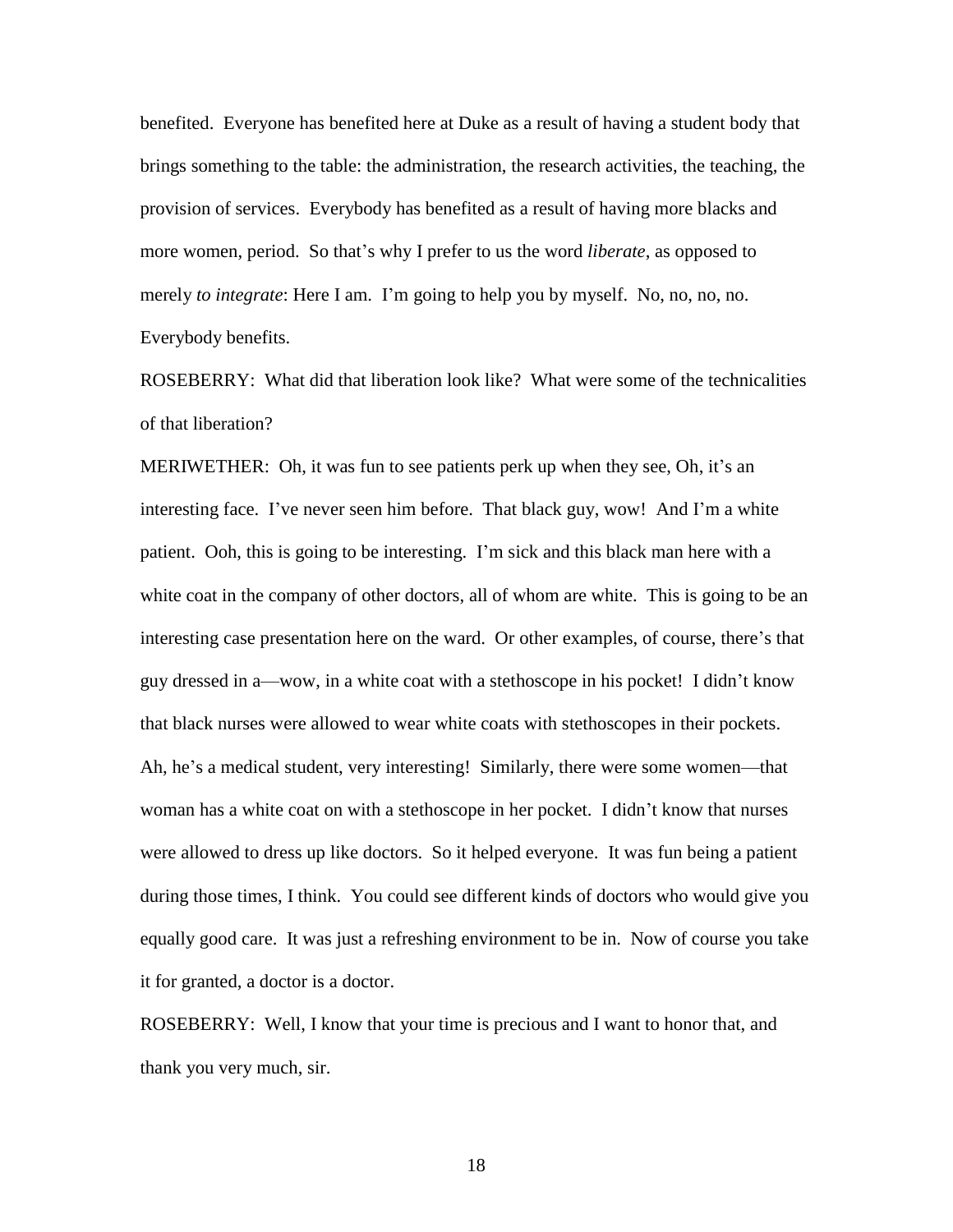benefited. Everyone has benefited here at Duke as a result of having a student body that brings something to the table: the administration, the research activities, the teaching, the provision of services. Everybody has benefited as a result of having more blacks and more women, period. So that's why I prefer to us the word *liberate*, as opposed to merely *to integrate*: Here I am. I'm going to help you by myself. No, no, no, no. Everybody benefits.

ROSEBERRY: What did that liberation look like? What were some of the technicalities of that liberation?

MERIWETHER: Oh, it was fun to see patients perk up when they see, Oh, it's an interesting face. I've never seen him before. That black guy, wow! And I'm a white patient. Ooh, this is going to be interesting. I'm sick and this black man here with a white coat in the company of other doctors, all of whom are white. This is going to be an interesting case presentation here on the ward. Or other examples, of course, there's that guy dressed in a—wow, in a white coat with a stethoscope in his pocket! I didn't know that black nurses were allowed to wear white coats with stethoscopes in their pockets. Ah, he's a medical student, very interesting! Similarly, there were some women—that woman has a white coat on with a stethoscope in her pocket. I didn't know that nurses were allowed to dress up like doctors. So it helped everyone. It was fun being a patient during those times, I think. You could see different kinds of doctors who would give you equally good care. It was just a refreshing environment to be in. Now of course you take it for granted, a doctor is a doctor.

ROSEBERRY: Well, I know that your time is precious and I want to honor that, and thank you very much, sir.